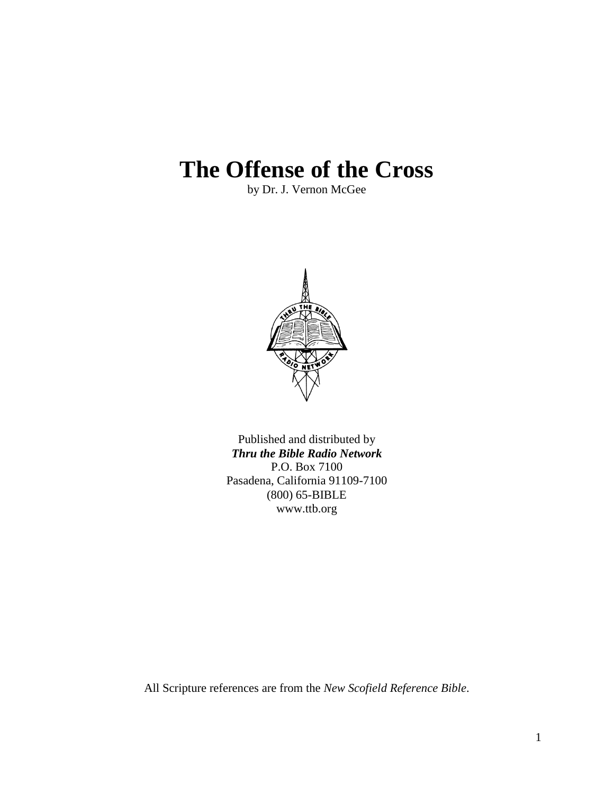# **The Offense of the Cross**

by Dr. J. Vernon McGee



Published and distributed by *Thru the Bible Radio Network* P.O. Box 7100 Pasadena, California 91109-7100 (800) 65-BIBLE www.ttb.org

All Scripture references are from the *New Scofield Reference Bible*.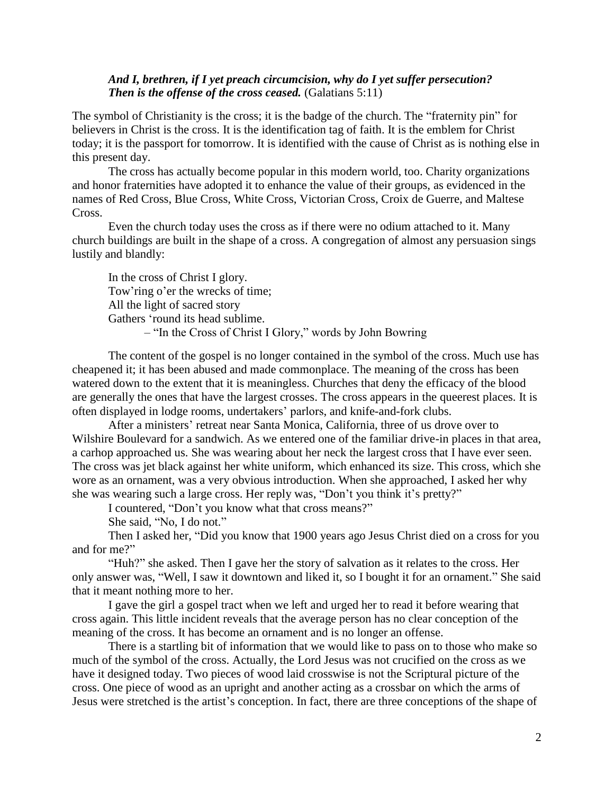## *And I, brethren, if I yet preach circumcision, why do I yet suffer persecution? Then is the offense of the cross ceased.* (Galatians 5:11)

The symbol of Christianity is the cross; it is the badge of the church. The "fraternity pin" for believers in Christ is the cross. It is the identification tag of faith. It is the emblem for Christ today; it is the passport for tomorrow. It is identified with the cause of Christ as is nothing else in this present day.

The cross has actually become popular in this modern world, too. Charity organizations and honor fraternities have adopted it to enhance the value of their groups, as evidenced in the names of Red Cross, Blue Cross, White Cross, Victorian Cross, Croix de Guerre, and Maltese Cross.

Even the church today uses the cross as if there were no odium attached to it. Many church buildings are built in the shape of a cross. A congregation of almost any persuasion sings lustily and blandly:

In the cross of Christ I glory. Tow'ring o'er the wrecks of time; All the light of sacred story Gathers "round its head sublime. – "In the Cross of Christ I Glory," words by John Bowring

The content of the gospel is no longer contained in the symbol of the cross. Much use has cheapened it; it has been abused and made commonplace. The meaning of the cross has been watered down to the extent that it is meaningless. Churches that deny the efficacy of the blood are generally the ones that have the largest crosses. The cross appears in the queerest places. It is often displayed in lodge rooms, undertakers" parlors, and knife-and-fork clubs.

After a ministers" retreat near Santa Monica, California, three of us drove over to Wilshire Boulevard for a sandwich. As we entered one of the familiar drive-in places in that area, a carhop approached us. She was wearing about her neck the largest cross that I have ever seen. The cross was jet black against her white uniform, which enhanced its size. This cross, which she wore as an ornament, was a very obvious introduction. When she approached, I asked her why she was wearing such a large cross. Her reply was, "Don't you think it's pretty?"

I countered, "Don"t you know what that cross means?"

She said, "No, I do not."

Then I asked her, "Did you know that 1900 years ago Jesus Christ died on a cross for you and for me?"

"Huh?" she asked. Then I gave her the story of salvation as it relates to the cross. Her only answer was, "Well, I saw it downtown and liked it, so I bought it for an ornament." She said that it meant nothing more to her.

I gave the girl a gospel tract when we left and urged her to read it before wearing that cross again. This little incident reveals that the average person has no clear conception of the meaning of the cross. It has become an ornament and is no longer an offense.

There is a startling bit of information that we would like to pass on to those who make so much of the symbol of the cross. Actually, the Lord Jesus was not crucified on the cross as we have it designed today. Two pieces of wood laid crosswise is not the Scriptural picture of the cross. One piece of wood as an upright and another acting as a crossbar on which the arms of Jesus were stretched is the artist"s conception. In fact, there are three conceptions of the shape of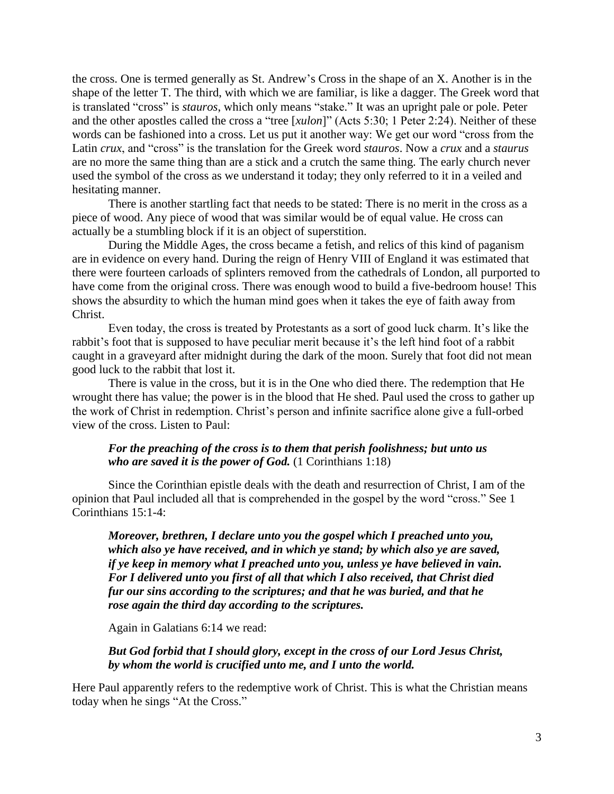the cross. One is termed generally as St. Andrew"s Cross in the shape of an X. Another is in the shape of the letter T. The third, with which we are familiar, is like a dagger. The Greek word that is translated "cross" is *stauros*, which only means "stake." It was an upright pale or pole. Peter and the other apostles called the cross a "tree [*xulon*]" (Acts 5:30; 1 Peter 2:24). Neither of these words can be fashioned into a cross. Let us put it another way: We get our word "cross from the Latin *crux*, and "cross" is the translation for the Greek word *stauros*. Now a *crux* and a *staurus* are no more the same thing than are a stick and a crutch the same thing. The early church never used the symbol of the cross as we understand it today; they only referred to it in a veiled and hesitating manner.

There is another startling fact that needs to be stated: There is no merit in the cross as a piece of wood. Any piece of wood that was similar would be of equal value. He cross can actually be a stumbling block if it is an object of superstition.

During the Middle Ages, the cross became a fetish, and relics of this kind of paganism are in evidence on every hand. During the reign of Henry VIII of England it was estimated that there were fourteen carloads of splinters removed from the cathedrals of London, all purported to have come from the original cross. There was enough wood to build a five-bedroom house! This shows the absurdity to which the human mind goes when it takes the eye of faith away from Christ.

Even today, the cross is treated by Protestants as a sort of good luck charm. It's like the rabbit's foot that is supposed to have peculiar merit because it's the left hind foot of a rabbit caught in a graveyard after midnight during the dark of the moon. Surely that foot did not mean good luck to the rabbit that lost it.

There is value in the cross, but it is in the One who died there. The redemption that He wrought there has value; the power is in the blood that He shed. Paul used the cross to gather up the work of Christ in redemption. Christ"s person and infinite sacrifice alone give a full-orbed view of the cross. Listen to Paul:

## *For the preaching of the cross is to them that perish foolishness; but unto us who are saved it is the power of God.* (1 Corinthians 1:18)

Since the Corinthian epistle deals with the death and resurrection of Christ, I am of the opinion that Paul included all that is comprehended in the gospel by the word "cross." See 1 Corinthians 15:1-4:

*Moreover, brethren, I declare unto you the gospel which I preached unto you, which also ye have received, and in which ye stand; by which also ye are saved, if ye keep in memory what I preached unto you, unless ye have believed in vain. For I delivered unto you first of all that which I also received, that Christ died fur our sins according to the scriptures; and that he was buried, and that he rose again the third day according to the scriptures.* 

Again in Galatians 6:14 we read:

*But God forbid that I should glory, except in the cross of our Lord Jesus Christ, by whom the world is crucified unto me, and I unto the world.* 

Here Paul apparently refers to the redemptive work of Christ. This is what the Christian means today when he sings "At the Cross."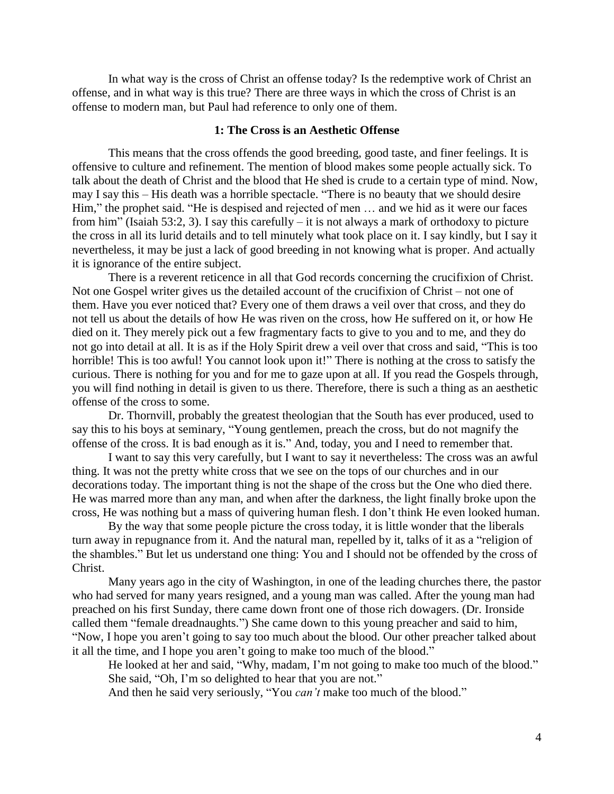In what way is the cross of Christ an offense today? Is the redemptive work of Christ an offense, and in what way is this true? There are three ways in which the cross of Christ is an offense to modern man, but Paul had reference to only one of them.

#### **1: The Cross is an Aesthetic Offense**

This means that the cross offends the good breeding, good taste, and finer feelings. It is offensive to culture and refinement. The mention of blood makes some people actually sick. To talk about the death of Christ and the blood that He shed is crude to a certain type of mind. Now, may I say this – His death was a horrible spectacle. "There is no beauty that we should desire Him," the prophet said. "He is despised and rejected of men … and we hid as it were our faces from him" (Isaiah 53:2, 3). I say this carefully – it is not always a mark of orthodoxy to picture the cross in all its lurid details and to tell minutely what took place on it. I say kindly, but I say it nevertheless, it may be just a lack of good breeding in not knowing what is proper. And actually it is ignorance of the entire subject.

There is a reverent reticence in all that God records concerning the crucifixion of Christ. Not one Gospel writer gives us the detailed account of the crucifixion of Christ – not one of them. Have you ever noticed that? Every one of them draws a veil over that cross, and they do not tell us about the details of how He was riven on the cross, how He suffered on it, or how He died on it. They merely pick out a few fragmentary facts to give to you and to me, and they do not go into detail at all. It is as if the Holy Spirit drew a veil over that cross and said, "This is too horrible! This is too awful! You cannot look upon it!" There is nothing at the cross to satisfy the curious. There is nothing for you and for me to gaze upon at all. If you read the Gospels through, you will find nothing in detail is given to us there. Therefore, there is such a thing as an aesthetic offense of the cross to some.

Dr. Thornvill, probably the greatest theologian that the South has ever produced, used to say this to his boys at seminary, "Young gentlemen, preach the cross, but do not magnify the offense of the cross. It is bad enough as it is." And, today, you and I need to remember that.

I want to say this very carefully, but I want to say it nevertheless: The cross was an awful thing. It was not the pretty white cross that we see on the tops of our churches and in our decorations today. The important thing is not the shape of the cross but the One who died there. He was marred more than any man, and when after the darkness, the light finally broke upon the cross, He was nothing but a mass of quivering human flesh. I don"t think He even looked human.

By the way that some people picture the cross today, it is little wonder that the liberals turn away in repugnance from it. And the natural man, repelled by it, talks of it as a "religion of the shambles." But let us understand one thing: You and I should not be offended by the cross of Christ.

Many years ago in the city of Washington, in one of the leading churches there, the pastor who had served for many years resigned, and a young man was called. After the young man had preached on his first Sunday, there came down front one of those rich dowagers. (Dr. Ironside called them "female dreadnaughts.") She came down to this young preacher and said to him, "Now, I hope you aren"t going to say too much about the blood. Our other preacher talked about it all the time, and I hope you aren"t going to make too much of the blood."

He looked at her and said, "Why, madam, I'm not going to make too much of the blood." She said, "Oh, I'm so delighted to hear that you are not."

And then he said very seriously, "You *can't* make too much of the blood."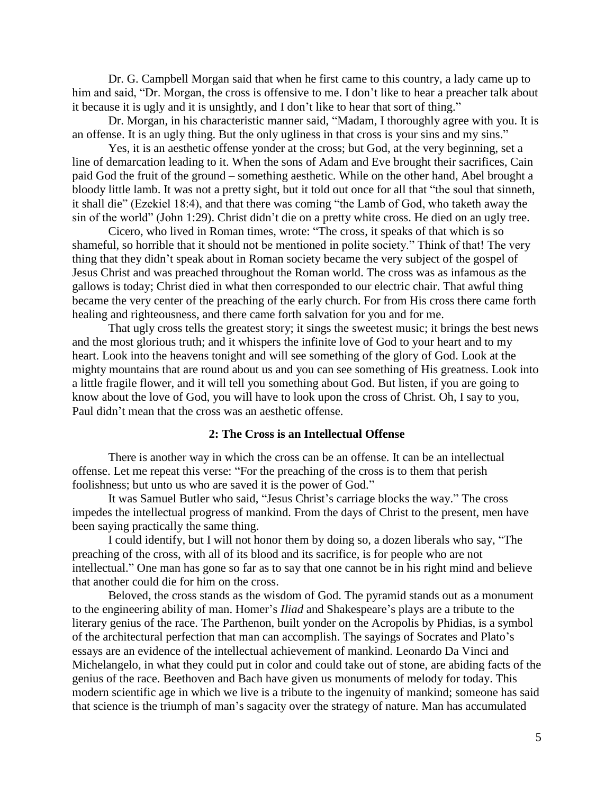Dr. G. Campbell Morgan said that when he first came to this country, a lady came up to him and said, "Dr. Morgan, the cross is offensive to me. I don't like to hear a preacher talk about it because it is ugly and it is unsightly, and I don"t like to hear that sort of thing."

Dr. Morgan, in his characteristic manner said, "Madam, I thoroughly agree with you. It is an offense. It is an ugly thing. But the only ugliness in that cross is your sins and my sins."

Yes, it is an aesthetic offense yonder at the cross; but God, at the very beginning, set a line of demarcation leading to it. When the sons of Adam and Eve brought their sacrifices, Cain paid God the fruit of the ground – something aesthetic. While on the other hand, Abel brought a bloody little lamb. It was not a pretty sight, but it told out once for all that "the soul that sinneth, it shall die" (Ezekiel 18:4), and that there was coming "the Lamb of God, who taketh away the sin of the world" (John 1:29). Christ didn"t die on a pretty white cross. He died on an ugly tree.

Cicero, who lived in Roman times, wrote: "The cross, it speaks of that which is so shameful, so horrible that it should not be mentioned in polite society." Think of that! The very thing that they didn"t speak about in Roman society became the very subject of the gospel of Jesus Christ and was preached throughout the Roman world. The cross was as infamous as the gallows is today; Christ died in what then corresponded to our electric chair. That awful thing became the very center of the preaching of the early church. For from His cross there came forth healing and righteousness, and there came forth salvation for you and for me.

That ugly cross tells the greatest story; it sings the sweetest music; it brings the best news and the most glorious truth; and it whispers the infinite love of God to your heart and to my heart. Look into the heavens tonight and will see something of the glory of God. Look at the mighty mountains that are round about us and you can see something of His greatness. Look into a little fragile flower, and it will tell you something about God. But listen, if you are going to know about the love of God, you will have to look upon the cross of Christ. Oh, I say to you, Paul didn"t mean that the cross was an aesthetic offense.

#### **2: The Cross is an Intellectual Offense**

There is another way in which the cross can be an offense. It can be an intellectual offense. Let me repeat this verse: "For the preaching of the cross is to them that perish foolishness; but unto us who are saved it is the power of God."

It was Samuel Butler who said, "Jesus Christ"s carriage blocks the way." The cross impedes the intellectual progress of mankind. From the days of Christ to the present, men have been saying practically the same thing.

I could identify, but I will not honor them by doing so, a dozen liberals who say, "The preaching of the cross, with all of its blood and its sacrifice, is for people who are not intellectual." One man has gone so far as to say that one cannot be in his right mind and believe that another could die for him on the cross.

Beloved, the cross stands as the wisdom of God. The pyramid stands out as a monument to the engineering ability of man. Homer"s *Iliad* and Shakespeare"s plays are a tribute to the literary genius of the race. The Parthenon, built yonder on the Acropolis by Phidias, is a symbol of the architectural perfection that man can accomplish. The sayings of Socrates and Plato"s essays are an evidence of the intellectual achievement of mankind. Leonardo Da Vinci and Michelangelo, in what they could put in color and could take out of stone, are abiding facts of the genius of the race. Beethoven and Bach have given us monuments of melody for today. This modern scientific age in which we live is a tribute to the ingenuity of mankind; someone has said that science is the triumph of man"s sagacity over the strategy of nature. Man has accumulated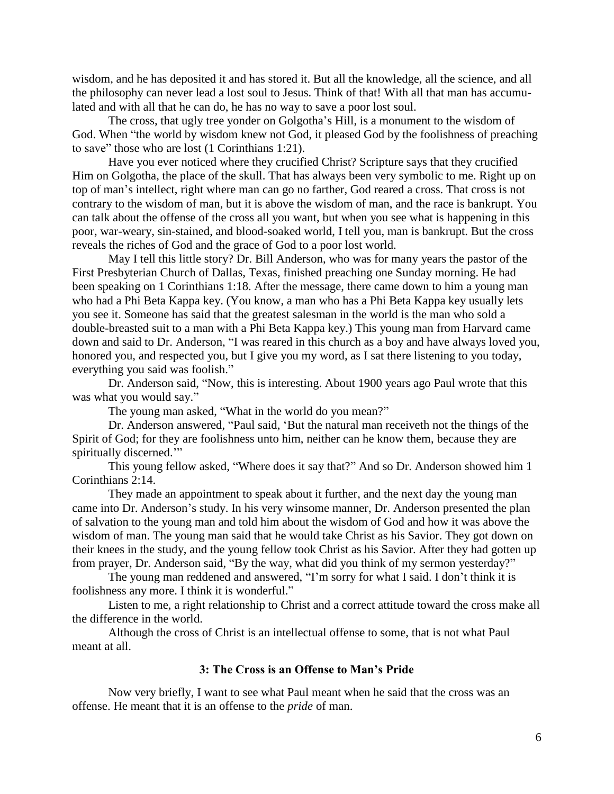wisdom, and he has deposited it and has stored it. But all the knowledge, all the science, and all the philosophy can never lead a lost soul to Jesus. Think of that! With all that man has accumulated and with all that he can do, he has no way to save a poor lost soul.

The cross, that ugly tree yonder on Golgotha"s Hill, is a monument to the wisdom of God. When "the world by wisdom knew not God, it pleased God by the foolishness of preaching to save" those who are lost (1 Corinthians 1:21).

Have you ever noticed where they crucified Christ? Scripture says that they crucified Him on Golgotha, the place of the skull. That has always been very symbolic to me. Right up on top of man"s intellect, right where man can go no farther, God reared a cross. That cross is not contrary to the wisdom of man, but it is above the wisdom of man, and the race is bankrupt. You can talk about the offense of the cross all you want, but when you see what is happening in this poor, war-weary, sin-stained, and blood-soaked world, I tell you, man is bankrupt. But the cross reveals the riches of God and the grace of God to a poor lost world.

May I tell this little story? Dr. Bill Anderson, who was for many years the pastor of the First Presbyterian Church of Dallas, Texas, finished preaching one Sunday morning. He had been speaking on 1 Corinthians 1:18. After the message, there came down to him a young man who had a Phi Beta Kappa key. (You know, a man who has a Phi Beta Kappa key usually lets you see it. Someone has said that the greatest salesman in the world is the man who sold a double-breasted suit to a man with a Phi Beta Kappa key.) This young man from Harvard came down and said to Dr. Anderson, "I was reared in this church as a boy and have always loved you, honored you, and respected you, but I give you my word, as I sat there listening to you today, everything you said was foolish."

Dr. Anderson said, "Now, this is interesting. About 1900 years ago Paul wrote that this was what you would say."

The young man asked, "What in the world do you mean?"

Dr. Anderson answered, "Paul said, "But the natural man receiveth not the things of the Spirit of God; for they are foolishness unto him, neither can he know them, because they are spiritually discerned.""

This young fellow asked, "Where does it say that?" And so Dr. Anderson showed him 1 Corinthians 2:14.

They made an appointment to speak about it further, and the next day the young man came into Dr. Anderson"s study. In his very winsome manner, Dr. Anderson presented the plan of salvation to the young man and told him about the wisdom of God and how it was above the wisdom of man. The young man said that he would take Christ as his Savior. They got down on their knees in the study, and the young fellow took Christ as his Savior. After they had gotten up from prayer, Dr. Anderson said, "By the way, what did you think of my sermon yesterday?"

The young man reddened and answered, "I'm sorry for what I said. I don't think it is foolishness any more. I think it is wonderful."

Listen to me, a right relationship to Christ and a correct attitude toward the cross make all the difference in the world.

Although the cross of Christ is an intellectual offense to some, that is not what Paul meant at all.

### **3: The Cross is an Offense to Man's Pride**

Now very briefly, I want to see what Paul meant when he said that the cross was an offense. He meant that it is an offense to the *pride* of man.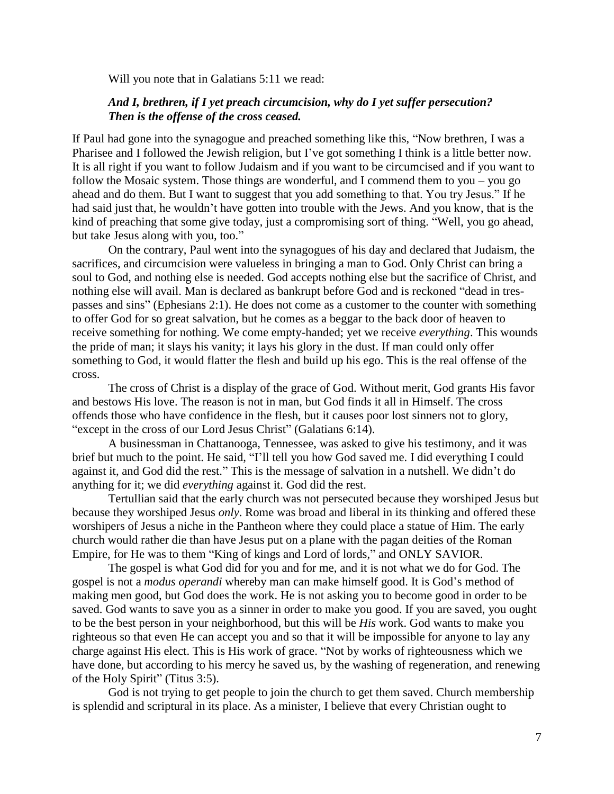Will you note that in Galatians 5:11 we read:

## *And I, brethren, if I yet preach circumcision, why do I yet suffer persecution? Then is the offense of the cross ceased.*

If Paul had gone into the synagogue and preached something like this, "Now brethren, I was a Pharisee and I followed the Jewish religion, but I've got something I think is a little better now. It is all right if you want to follow Judaism and if you want to be circumcised and if you want to follow the Mosaic system. Those things are wonderful, and I commend them to you – you go ahead and do them. But I want to suggest that you add something to that. You try Jesus." If he had said just that, he wouldn"t have gotten into trouble with the Jews. And you know, that is the kind of preaching that some give today, just a compromising sort of thing. "Well, you go ahead, but take Jesus along with you, too."

On the contrary, Paul went into the synagogues of his day and declared that Judaism, the sacrifices, and circumcision were valueless in bringing a man to God. Only Christ can bring a soul to God, and nothing else is needed. God accepts nothing else but the sacrifice of Christ, and nothing else will avail. Man is declared as bankrupt before God and is reckoned "dead in trespasses and sins" (Ephesians 2:1). He does not come as a customer to the counter with something to offer God for so great salvation, but he comes as a beggar to the back door of heaven to receive something for nothing. We come empty-handed; yet we receive *everything*. This wounds the pride of man; it slays his vanity; it lays his glory in the dust. If man could only offer something to God, it would flatter the flesh and build up his ego. This is the real offense of the cross.

The cross of Christ is a display of the grace of God. Without merit, God grants His favor and bestows His love. The reason is not in man, but God finds it all in Himself. The cross offends those who have confidence in the flesh, but it causes poor lost sinners not to glory, "except in the cross of our Lord Jesus Christ" (Galatians 6:14).

A businessman in Chattanooga, Tennessee, was asked to give his testimony, and it was brief but much to the point. He said, "I"ll tell you how God saved me. I did everything I could against it, and God did the rest." This is the message of salvation in a nutshell. We didn"t do anything for it; we did *everything* against it. God did the rest.

Tertullian said that the early church was not persecuted because they worshiped Jesus but because they worshiped Jesus *only*. Rome was broad and liberal in its thinking and offered these worshipers of Jesus a niche in the Pantheon where they could place a statue of Him. The early church would rather die than have Jesus put on a plane with the pagan deities of the Roman Empire, for He was to them "King of kings and Lord of lords," and ONLY SAVIOR.

The gospel is what God did for you and for me, and it is not what we do for God. The gospel is not a *modus operandi* whereby man can make himself good. It is God"s method of making men good, but God does the work. He is not asking you to become good in order to be saved. God wants to save you as a sinner in order to make you good. If you are saved, you ought to be the best person in your neighborhood, but this will be *His* work. God wants to make you righteous so that even He can accept you and so that it will be impossible for anyone to lay any charge against His elect. This is His work of grace. "Not by works of righteousness which we have done, but according to his mercy he saved us, by the washing of regeneration, and renewing of the Holy Spirit" (Titus 3:5).

God is not trying to get people to join the church to get them saved. Church membership is splendid and scriptural in its place. As a minister, I believe that every Christian ought to